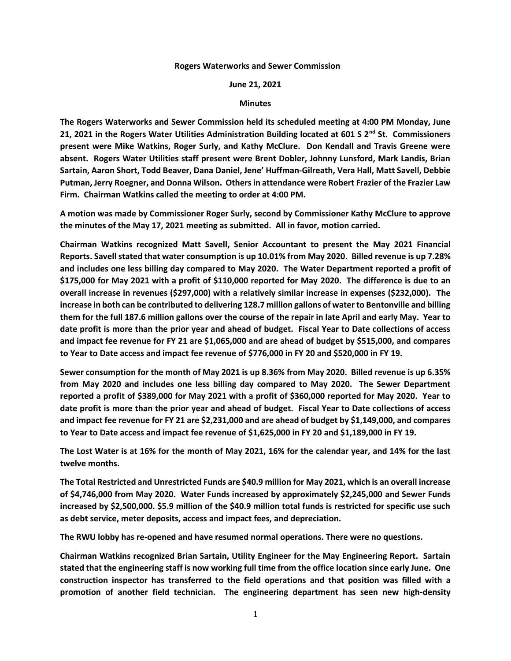## **Rogers Waterworks and Sewer Commission**

## **June 21, 2021**

## **Minutes**

**The Rogers Waterworks and Sewer Commission held its scheduled meeting at 4:00 PM Monday, June 21, 2021 in the Rogers Water Utilities Administration Building located at 601 S 2nd St. Commissioners present were Mike Watkins, Roger Surly, and Kathy McClure. Don Kendall and Travis Greene were absent. Rogers Water Utilities staff present were Brent Dobler, Johnny Lunsford, Mark Landis, Brian Sartain, Aaron Short, Todd Beaver, Dana Daniel, Jene' Huffman-Gilreath, Vera Hall, Matt Savell, Debbie Putman, Jerry Roegner, and Donna Wilson. Others in attendance were Robert Frazier of the Frazier Law Firm. Chairman Watkins called the meeting to order at 4:00 PM.**

**A motion was made by Commissioner Roger Surly, second by Commissioner Kathy McClure to approve the minutes of the May 17, 2021 meeting as submitted. All in favor, motion carried.**

**Chairman Watkins recognized Matt Savell, Senior Accountant to present the May 2021 Financial Reports. Savell stated that water consumption is up 10.01% from May 2020. Billed revenue is up 7.28% and includes one less billing day compared to May 2020. The Water Department reported a profit of \$175,000 for May 2021 with a profit of \$110,000 reported for May 2020. The difference is due to an overall increase in revenues (\$297,000) with a relatively similar increase in expenses (\$232,000). The increase in both can be contributed to delivering 128.7 million gallons of water to Bentonville and billing them for the full 187.6 million gallons over the course of the repair in late April and early May. Year to date profit is more than the prior year and ahead of budget. Fiscal Year to Date collections of access and impact fee revenue for FY 21 are \$1,065,000 and are ahead of budget by \$515,000, and compares to Year to Date access and impact fee revenue of \$776,000 in FY 20 and \$520,000 in FY 19.**

**Sewer consumption for the month of May 2021 is up 8.36% from May 2020. Billed revenue is up 6.35% from May 2020 and includes one less billing day compared to May 2020. The Sewer Department reported a profit of \$389,000 for May 2021 with a profit of \$360,000 reported for May 2020. Year to date profit is more than the prior year and ahead of budget. Fiscal Year to Date collections of access and impact fee revenue for FY 21 are \$2,231,000 and are ahead of budget by \$1,149,000, and compares to Year to Date access and impact fee revenue of \$1,625,000 in FY 20 and \$1,189,000 in FY 19.**

**The Lost Water is at 16% for the month of May 2021, 16% for the calendar year, and 14% for the last twelve months.**

**The Total Restricted and Unrestricted Funds are \$40.9 million for May 2021, which is an overall increase of \$4,746,000 from May 2020. Water Funds increased by approximately \$2,245,000 and Sewer Funds increased by \$2,500,000. \$5.9 million of the \$40.9 million total funds is restricted for specific use such as debt service, meter deposits, access and impact fees, and depreciation.**

**The RWU lobby has re-opened and have resumed normal operations. There were no questions.**

**Chairman Watkins recognized Brian Sartain, Utility Engineer for the May Engineering Report. Sartain stated that the engineering staff is now working full time from the office location since early June. One construction inspector has transferred to the field operations and that position was filled with a promotion of another field technician. The engineering department has seen new high-density**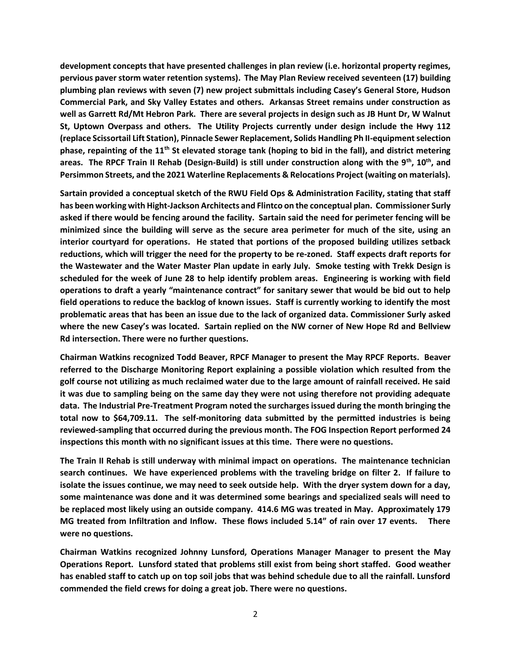**development concepts that have presented challenges in plan review (i.e. horizontal property regimes, pervious paver storm water retention systems). The May Plan Review received seventeen (17) building plumbing plan reviews with seven (7) new project submittals including Casey's General Store, Hudson Commercial Park, and Sky Valley Estates and others. Arkansas Street remains under construction as well as Garrett Rd/Mt Hebron Park. There are several projects in design such as JB Hunt Dr, W Walnut St, Uptown Overpass and others. The Utility Projects currently under design include the Hwy 112 (replace Scissortail Lift Station), Pinnacle Sewer Replacement, Solids Handling Ph II-equipment selection phase, repainting of the 11th St elevated storage tank (hoping to bid in the fall), and district metering areas. The RPCF Train II Rehab (Design-Build) is still under construction along with the 9th , 10th, and Persimmon Streets, and the 2021 Waterline Replacements & Relocations Project (waiting on materials).**

**Sartain provided a conceptual sketch of the RWU Field Ops & Administration Facility, stating that staff has been working with Hight-Jackson Architects and Flintco on the conceptual plan. Commissioner Surly asked if there would be fencing around the facility. Sartain said the need for perimeter fencing will be minimized since the building will serve as the secure area perimeter for much of the site, using an interior courtyard for operations. He stated that portions of the proposed building utilizes setback reductions, which will trigger the need for the property to be re-zoned. Staff expects draft reports for the Wastewater and the Water Master Plan update in early July. Smoke testing with Trekk Design is scheduled for the week of June 28 to help identify problem areas. Engineering is working with field operations to draft a yearly "maintenance contract" for sanitary sewer that would be bid out to help field operations to reduce the backlog of known issues. Staff is currently working to identify the most problematic areas that has been an issue due to the lack of organized data. Commissioner Surly asked where the new Casey's was located. Sartain replied on the NW corner of New Hope Rd and Bellview Rd intersection. There were no further questions.**

**Chairman Watkins recognized Todd Beaver, RPCF Manager to present the May RPCF Reports. Beaver referred to the Discharge Monitoring Report explaining a possible violation which resulted from the golf course not utilizing as much reclaimed water due to the large amount of rainfall received. He said it was due to sampling being on the same day they were not using therefore not providing adequate data. The Industrial Pre-Treatment Program noted the surcharges issued during the month bringing the total now to \$64,709.11. The self-monitoring data submitted by the permitted industries is being reviewed-sampling that occurred during the previous month. The FOG Inspection Report performed 24 inspections this month with no significant issues at this time. There were no questions.**

**The Train II Rehab is still underway with minimal impact on operations. The maintenance technician search continues. We have experienced problems with the traveling bridge on filter 2. If failure to isolate the issues continue, we may need to seek outside help. With the dryer system down for a day, some maintenance was done and it was determined some bearings and specialized seals will need to be replaced most likely using an outside company. 414.6 MG was treated in May. Approximately 179 MG treated from Infiltration and Inflow. These flows included 5.14" of rain over 17 events. There were no questions.**

**Chairman Watkins recognized Johnny Lunsford, Operations Manager Manager to present the May Operations Report. Lunsford stated that problems still exist from being short staffed. Good weather has enabled staff to catch up on top soil jobs that was behind schedule due to all the rainfall. Lunsford commended the field crews for doing a great job. There were no questions.**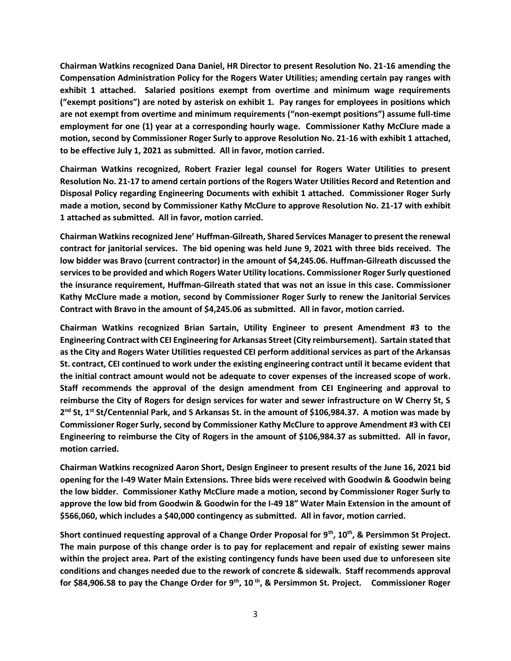**Chairman Watkins recognized Dana Daniel, HR Director to present Resolution No. 21-16 amending the Compensation Administration Policy for the Rogers Water Utilities; amending certain pay ranges with exhibit 1 attached. Salaried positions exempt from overtime and minimum wage requirements ("exempt positions") are noted by asterisk on exhibit 1. Pay ranges for employees in positions which are not exempt from overtime and minimum requirements ("non-exempt positions") assume full-time employment for one (1) year at a corresponding hourly wage. Commissioner Kathy McClure made a motion, second by Commissioner Roger Surly to approve Resolution No. 21-16 with exhibit 1 attached, to be effective July 1, 2021 as submitted. All in favor, motion carried.**

**Chairman Watkins recognized, Robert Frazier legal counsel for Rogers Water Utilities to present Resolution No. 21-17 to amend certain portions of the Rogers Water Utilities Record and Retention and Disposal Policy regarding Engineering Documents with exhibit 1 attached. Commissioner Roger Surly made a motion, second by Commissioner Kathy McClure to approve Resolution No. 21-17 with exhibit 1 attached as submitted. All in favor, motion carried.**

**Chairman Watkins recognized Jene' Huffman-Gilreath, Shared Services Manager to present the renewal contract for janitorial services. The bid opening was held June 9, 2021 with three bids received. The low bidder was Bravo (current contractor) in the amount of \$4,245.06. Huffman-Gilreath discussed the services to be provided and which Rogers Water Utility locations. Commissioner Roger Surly questioned the insurance requirement, Huffman-Gilreath stated that was not an issue in this case. Commissioner Kathy McClure made a motion, second by Commissioner Roger Surly to renew the Janitorial Services Contract with Bravo in the amount of \$4,245.06 as submitted. All in favor, motion carried.**

**Chairman Watkins recognized Brian Sartain, Utility Engineer to present Amendment #3 to the Engineering Contract with CEI Engineering for Arkansas Street (City reimbursement). Sartain stated that as the City and Rogers Water Utilities requested CEI perform additional services as part of the Arkansas St. contract, CEI continued to work under the existing engineering contract until it became evident that the initial contract amount would not be adequate to cover expenses of the increased scope of work. Staff recommends the approval of the design amendment from CEI Engineering and approval to reimburse the City of Rogers for design services for water and sewer infrastructure on W Cherry St, S 2 nd St, 1st St/Centennial Park, and S Arkansas St. in the amount of \$106,984.37. A motion was made by Commissioner Roger Surly, second by Commissioner Kathy McClure to approve Amendment #3 with CEI Engineering to reimburse the City of Rogers in the amount of \$106,984.37 as submitted. All in favor, motion carried.**

**Chairman Watkins recognized Aaron Short, Design Engineer to present results of the June 16, 2021 bid opening for the I-49 Water Main Extensions. Three bids were received with Goodwin & Goodwin being the low bidder. Commissioner Kathy McClure made a motion, second by Commissioner Roger Surly to approve the low bid from Goodwin & Goodwin for the I-49 18" Water Main Extension in the amount of \$566,060, which includes a \$40,000 contingency as submitted. All in favor, motion carried.**

**Short continued requesting approval of a Change Order Proposal for 9th, 10th , & Persimmon St Project. The main purpose of this change order is to pay for replacement and repair of existing sewer mains within the project area. Part of the existing contingency funds have been used due to unforeseen site conditions and changes needed due to the rework of concrete & sidewalk. Staff recommends approval for \$84,906.58 to pay the Change Order for 9th, 10 th, & Persimmon St. Project. Commissioner Roger**